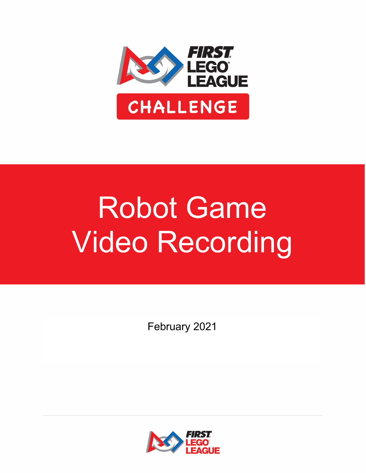

## Robot Game Video Recording

February 2021

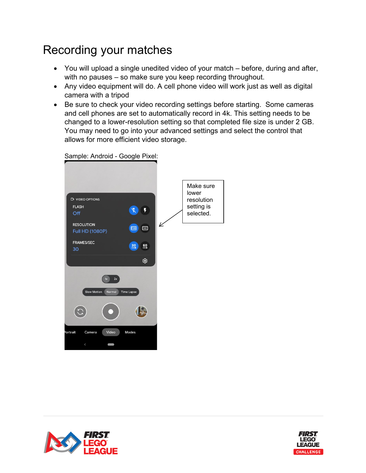## Recording your matches

- You will upload a single unedited video of your match before, during and after, with no pauses – so make sure you keep recording throughout.
- Any video equipment will do. A cell phone video will work just as well as digital camera with a tripod
- Be sure to check your video recording settings before starting. Some cameras and cell phones are set to automatically record in 4k. This setting needs to be changed to a lower-resolution setting so that completed file size is under 2 GB. You may need to go into your advanced settings and select the control that allows for more efficient video storage.

Make sure lower **EN VIDEO OPTIONS** resolution **FLASH** setting is ¥. Off selected.**RESOLUTION**  $F$ **Full HD (1080P)** FRAMES/SEC 50 30 ශ Normal Time Lapse  $\mathbf{P}$ rtrait Camera Video Modes





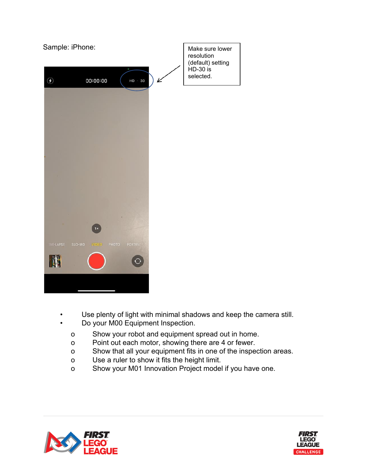

- Use plenty of light with minimal shadows and keep the camera still.
- Do your M00 Equipment Inspection.
	- o Show your robot and equipment spread out in home.
	- o Point out each motor, showing there are 4 or fewer.
	- o Show that all your equipment fits in one of the inspection areas.
	- o Use a ruler to show it fits the height limit.
	- o Show your M01 Innovation Project model if you have one.



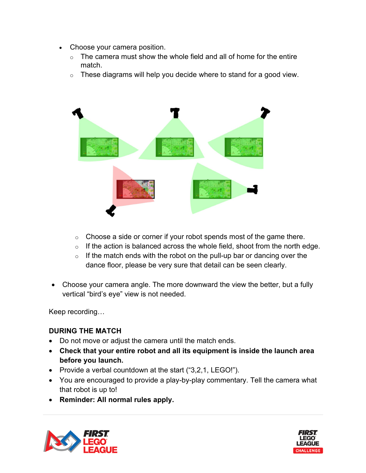- Choose your camera position.
	- $\circ$  The camera must show the whole field and all of home for the entire match.
	- $\circ$  These diagrams will help you decide where to stand for a good view.



- $\circ$  Choose a side or corner if your robot spends most of the game there.
- $\circ$  If the action is balanced across the whole field, shoot from the north edge.
- $\circ$  If the match ends with the robot on the pull-up bar or dancing over the dance floor, please be very sure that detail can be seen clearly.
- Choose your camera angle. The more downward the view the better, but a fully vertical "bird's eye" view is not needed.

Keep recording… 

## **DURING THE MATCH**

- Do not move or adjust the camera until the match ends.
- **Check that your entire robot and all its equipment is inside the launch area before you launch.**
- Provide a verbal countdown at the start ("3,2,1, LEGO!").
- You are encouraged to provide a play-by-play commentary. Tell the camera what that robot is up to!
- **Reminder: All normal rules apply.**